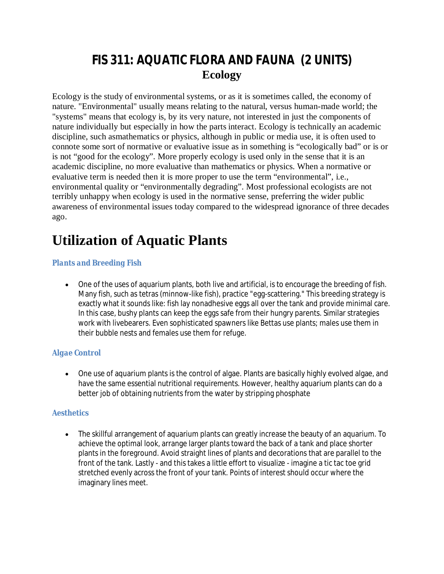## **FIS 311: AQUATIC FLORA AND FAUNA (2 UNITS) Ecology**

Ecology is the study of environmental systems, or as it is sometimes called, the economy of nature. "Environmental" usually means relating to the natural, versus human-made world; the "systems" means that ecology is, by its very nature, not interested in just the components of nature individually but especially in how the parts interact. Ecology is technically an academic discipline, such asmathematics or physics, although in public or media use, it is often used to connote some sort of normative or evaluative issue as in something is "ecologically bad" or is or is not "good for the ecology". More properly ecology is used only in the sense that it is an academic discipline, no more evaluative than mathematics or physics. When a normative or evaluative term is needed then it is more proper to use the term "environmental", i.e., environmental quality or "environmentally degrading". Most professional ecologists are not terribly unhappy when ecology is used in the normative sense, preferring the wider public awareness of environmental issues today compared to the widespread ignorance of three decades ago.

# **Utilization of Aquatic Plants**

### *Plants and Breeding Fish*

 One of the uses of aquarium plants, both live and artificial, is to encourage the breeding of fish. Many fish, such as tetras (minnow-like fish), practice "egg-scattering." This breeding strategy is exactly what it sounds like: fish lay nonadhesive eggs all over the tank and provide minimal care. In this case, bushy plants can keep the eggs safe from their hungry parents. Similar strategies work with livebearers. Even sophisticated spawners like Bettas use plants; males use them in their bubble nests and females use them for refuge.

#### *Algae Control*

 One use of aquarium plants is the control of algae. Plants are basically highly evolved algae, and have the same essential nutritional requirements. However, healthy aquarium plants can do a better job of obtaining nutrients from the water by stripping phosphate

#### *Aesthetics*

 The skillful arrangement of aquarium plants can greatly increase the beauty of an aquarium. To achieve the optimal look, arrange larger plants toward the back of a tank and place shorter plants in the foreground. Avoid straight lines of plants and decorations that are parallel to the front of the tank. Lastly - and this takes a little effort to visualize - imagine a tic tac toe grid stretched evenly across the front of your tank. Points of interest should occur where the imaginary lines meet.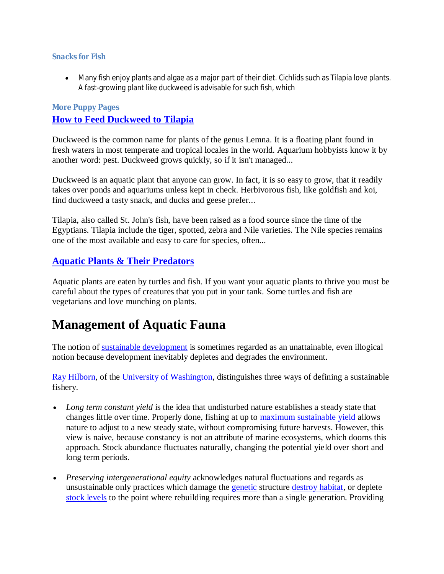#### *Snacks for Fish*

 Many fish enjoy plants and algae as a major part of their diet. Cichlids such as Tilapia love plants. A fast-growing plant like duckweed is advisable for such fish, which

### **More Puppy Pages How to Feed Duckweed to Tilapia**

Duckweed is the common name for plants of the genus Lemna. It is a floating plant found in fresh waters in most temperate and tropical locales in the world. Aquarium hobbyists know it by another word: pest. Duckweed grows quickly, so if it isn't managed...

Duckweed is an aquatic plant that anyone can grow. In fact, it is so easy to grow, that it readily takes over ponds and aquariums unless kept in check. Herbivorous fish, like goldfish and koi, find duckweed a tasty snack, and ducks and geese prefer...

Tilapia, also called St. John's fish, have been raised as a food source since the time of the Egyptians. Tilapia include the tiger, spotted, zebra and Nile varieties. The Nile species remains one of the most available and easy to care for species, often...

## **Aquatic Plants & Their Predators**

Aquatic plants are eaten by turtles and fish. If you want your aquatic plants to thrive you must be careful about the types of creatures that you put in your tank. Some turtles and fish are vegetarians and love munching on plants.

## **Management of Aquatic Fauna**

The notion of sustainable development is sometimes regarded as an unattainable, even illogical notion because development inevitably depletes and degrades the environment.

Ray Hilborn, of the University of Washington, distinguishes three ways of defining a sustainable fishery.

- Long term constant yield is the idea that undisturbed nature establishes a steady state that changes little over time. Properly done, fishing at up to **maximum** sustainable yield allows nature to adjust to a new steady state, without compromising future harvests. However, this view is naive, because constancy is not an attribute of marine ecosystems, which dooms this approach. Stock abundance fluctuates naturally, changing the potential yield over short and long term periods.
- *Preserving intergenerational equity* acknowledges natural fluctuations and regards as unsustainable only practices which damage the **genetic** structure destroy habitat, or deplete stock levels to the point where rebuilding requires more than a single generation. Providing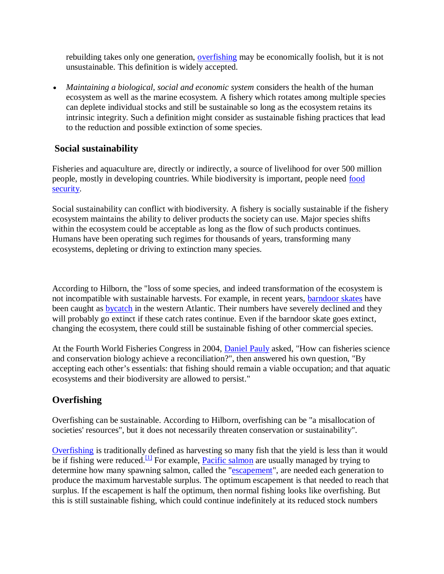rebuilding takes only one generation, overfishing may be economically foolish, but it is not unsustainable. This definition is widely accepted.

 *Maintaining a biological, social and economic system* considers the health of the human ecosystem as well as the marine ecosystem. A fishery which rotates among multiple species can deplete individual stocks and still be sustainable so long as the ecosystem retains its intrinsic integrity. Such a definition might consider as sustainable fishing practices that lead to the reduction and possible extinction of some species.

## **Social sustainability**

Fisheries and aquaculture are, directly or indirectly, a source of livelihood for over 500 million people, mostly in developing countries. While biodiversity is important, people need food security.

Social sustainability can conflict with biodiversity. A fishery is socially sustainable if the fishery ecosystem maintains the ability to deliver products the society can use. Major species shifts within the ecosystem could be acceptable as long as the flow of such products continues. Humans have been operating such regimes for thousands of years, transforming many ecosystems, depleting or driving to extinction many species.

According to Hilborn, the "loss of some species, and indeed transformation of the ecosystem is not incompatible with sustainable harvests. For example, in recent years, barndoor skates have been caught as **bycatch** in the western Atlantic. Their numbers have severely declined and they will probably go extinct if these catch rates continue. Even if the barndoor skate goes extinct, changing the ecosystem, there could still be sustainable fishing of other commercial species.

At the Fourth World Fisheries Congress in 2004, Daniel Pauly asked, "How can fisheries science and conservation biology achieve a reconciliation?", then answered his own question, "By accepting each other's essentials: that fishing should remain a viable occupation; and that aquatic ecosystems and their biodiversity are allowed to persist."

## **Overfishing**

Overfishing can be sustainable. According to Hilborn, overfishing can be "a misallocation of societies' resources", but it does not necessarily threaten conservation or sustainability".

Overfishing is traditionally defined as harvesting so many fish that the yield is less than it would be if fishing were reduced.<sup>[1]</sup> For example, Pacific salmon are usually managed by trying to determine how many spawning salmon, called the "escapement", are needed each generation to produce the maximum harvestable surplus. The optimum escapement is that needed to reach that surplus. If the escapement is half the optimum, then normal fishing looks like overfishing. But this is still sustainable fishing, which could continue indefinitely at its reduced stock numbers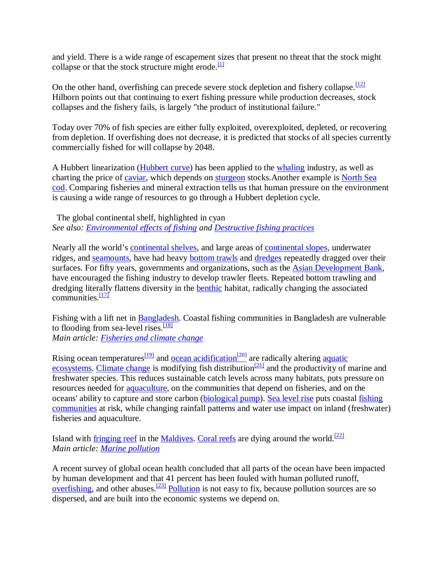and yield. There is a wide range of escapement sizes that present no threat that the stock might collapse or that the stock structure might erode.<sup>[1]</sup>

On the other hand, overfishing can precede severe stock depletion and fishery collapse.<sup>[12]</sup> Hilborn points out that continuing to exert fishing pressure while production decreases, stock collapses and the fishery fails, is largely "the product of institutional failure."

Today over 70% of fish species are either fully exploited, overexploited, depleted, or recovering from depletion. If overfishing does not decrease, it is predicted that stocks of all species currently commercially fished for will collapse by 2048.

A Hubbert linearization (Hubbert curve) has been applied to the whaling industry, as well as charting the price of caviar, which depends on sturgeon stocks.Another example is North Sea cod. Comparing fisheries and mineral extraction tells us that human pressure on the environment is causing a wide range of resources to go through a Hubbert depletion cycle.

The global continental shelf, highlighted in cyan *See also: Environmental effects of fishing and Destructive fishing practices*

Nearly all the world's continental shelves, and large areas of continental slopes, underwater ridges, and seamounts, have had heavy bottom trawls and dredges repeatedly dragged over their surfaces. For fifty years, governments and organizations, such as the Asian Development Bank, have encouraged the fishing industry to develop trawler fleets. Repeated bottom trawling and dredging literally flattens diversity in the benthic habitat, radically changing the associated communities. $\frac{17}{17}$ 

Fishing with a lift net in Bangladesh. Coastal fishing communities in Bangladesh are vulnerable to flooding from sea-level rises. $\frac{181}{18}$ *Main article: Fisheries and climate change*

Rising ocean temperatures $\frac{191}{20}$  and <u>ocean acidification<sup>[20]</sup></u> are radically altering aquatic ecosystems. Climate change is modifying fish distribution<sup>[21]</sup> and the productivity of marine and freshwater species. This reduces sustainable catch levels across many habitats, puts pressure on resources needed for aquaculture, on the communities that depend on fisheries, and on the oceans' ability to capture and store carbon (biological pump). Sea level rise puts coastal fishing communities at risk, while changing rainfall patterns and water use impact on inland (freshwater) fisheries and aquaculture.

Island with fringing reef in the Maldives. Coral reefs are dying around the world.<sup>[22]</sup> *Main article: Marine pollution*

A recent survey of global ocean health concluded that all parts of the ocean have been impacted by human development and that 41 percent has been fouled with human polluted runoff, overfishing, and other abuses.<sup>[23]</sup> Pollution is not easy to fix, because pollution sources are so dispersed, and are built into the economic systems we depend on.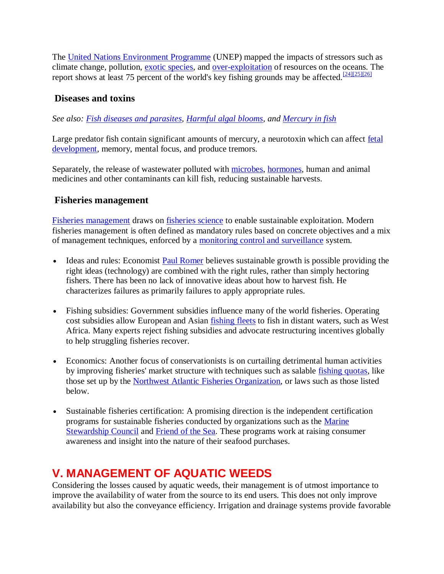The United Nations Environment Programme (UNEP) mapped the impacts of stressors such as climate change, pollution, exotic species, and over-exploitation of resources on the oceans. The report shows at least 75 percent of the world's key fishing grounds may be affected.  $\frac{[24][25][26]}{[24][25][26]}$ 

## **Diseases and toxins**

*See also: Fish diseases and parasites, Harmful algal blooms, and Mercury in fish*

Large predator fish contain significant amounts of mercury, a neurotoxin which can affect fetal development, memory, mental focus, and produce tremors.

Separately, the release of wastewater polluted with microbes, hormones, human and animal medicines and other contaminants can kill fish, reducing sustainable harvests.

### **Fisheries management**

Fisheries management draws on fisheries science to enable sustainable exploitation. Modern fisheries management is often defined as mandatory rules based on concrete objectives and a mix of management techniques, enforced by a monitoring control and surveillance system.

- Ideas and rules: Economist Paul Romer believes sustainable growth is possible providing the right ideas (technology) are combined with the right rules, rather than simply hectoring fishers. There has been no lack of innovative ideas about how to harvest fish. He characterizes failures as primarily failures to apply appropriate rules.
- Fishing subsidies: Government subsidies influence many of the world fisheries. Operating cost subsidies allow European and Asian fishing fleets to fish in distant waters, such as West Africa. Many experts reject fishing subsidies and advocate restructuring incentives globally to help struggling fisheries recover.
- Economics: Another focus of conservationists is on curtailing detrimental human activities by improving fisheries' market structure with techniques such as salable fishing quotas, like those set up by the Northwest Atlantic Fisheries Organization, or laws such as those listed below.
- Sustainable fisheries certification: A promising direction is the independent certification programs for sustainable fisheries conducted by organizations such as the Marine Stewardship Council and Friend of the Sea. These programs work at raising consumer awareness and insight into the nature of their seafood purchases.

## **V. MANAGEMENT OF AQUATIC WEEDS**

Considering the losses caused by aquatic weeds, their management is of utmost importance to improve the availability of water from the source to its end users. This does not only improve availability but also the conveyance efficiency. Irrigation and drainage systems provide favorable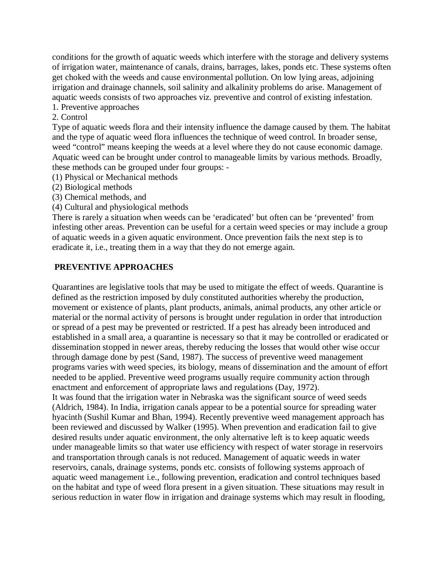conditions for the growth of aquatic weeds which interfere with the storage and delivery systems of irrigation water, maintenance of canals, drains, barrages, lakes, ponds etc. These systems often get choked with the weeds and cause environmental pollution. On low lying areas, adjoining irrigation and drainage channels, soil salinity and alkalinity problems do arise. Management of aquatic weeds consists of two approaches viz. preventive and control of existing infestation.

1. Preventive approaches

#### 2. Control

Type of aquatic weeds flora and their intensity influence the damage caused by them. The habitat and the type of aquatic weed flora influences the technique of weed control. In broader sense, weed "control" means keeping the weeds at a level where they do not cause economic damage. Aquatic weed can be brought under control to manageable limits by various methods. Broadly, these methods can be grouped under four groups: -

(1) Physical or Mechanical methods

(2) Biological methods

(3) Chemical methods, and

(4) Cultural and physiological methods

There is rarely a situation when weeds can be 'eradicated' but often can be 'prevented' from infesting other areas. Prevention can be useful for a certain weed species or may include a group of aquatic weeds in a given aquatic environment. Once prevention fails the next step is to eradicate it, i.e., treating them in a way that they do not emerge again.

#### **PREVENTIVE APPROACHES**

Quarantines are legislative tools that may be used to mitigate the effect of weeds. Quarantine is defined as the restriction imposed by duly constituted authorities whereby the production, movement or existence of plants, plant products, animals, animal products, any other article or material or the normal activity of persons is brought under regulation in order that introduction or spread of a pest may be prevented or restricted. If a pest has already been introduced and established in a small area, a quarantine is necessary so that it may be controlled or eradicated or dissemination stopped in newer areas, thereby reducing the losses that would other wise occur through damage done by pest (Sand, 1987). The success of preventive weed management programs varies with weed species, its biology, means of dissemination and the amount of effort needed to be applied. Preventive weed programs usually require community action through enactment and enforcement of appropriate laws and regulations (Day, 1972). It was found that the irrigation water in Nebraska was the significant source of weed seeds (Aldrich, 1984). In India, irrigation canals appear to be a potential source for spreading water

hyacinth (Sushil Kumar and Bhan, 1994). Recently preventive weed management approach has been reviewed and discussed by Walker (1995). When prevention and eradication fail to give desired results under aquatic environment, the only alternative left is to keep aquatic weeds under manageable limits so that water use efficiency with respect of water storage in reservoirs and transportation through canals is not reduced. Management of aquatic weeds in water reservoirs, canals, drainage systems, ponds etc. consists of following systems approach of aquatic weed management i.e., following prevention, eradication and control techniques based on the habitat and type of weed flora present in a given situation. These situations may result in serious reduction in water flow in irrigation and drainage systems which may result in flooding,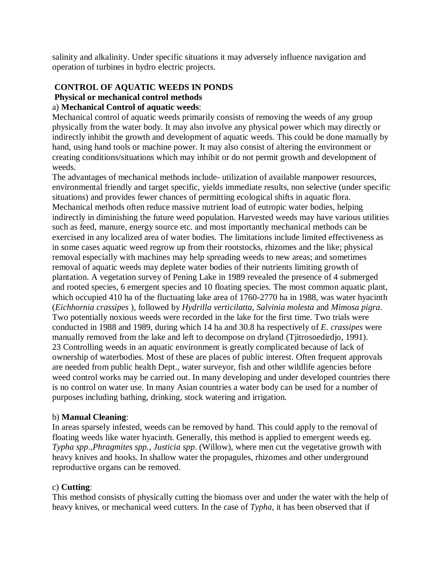salinity and alkalinity. Under specific situations it may adversely influence navigation and operation of turbines in hydro electric projects.

## **CONTROL OF AQUATIC WEEDS IN PONDS Physical or mechanical control methods**

#### a) **Mechanical Control of aquatic weeds**:

Mechanical control of aquatic weeds primarily consists of removing the weeds of any group physically from the water body. It may also involve any physical power which may directly or indirectly inhibit the growth and development of aquatic weeds. This could be done manually by hand, using hand tools or machine power. It may also consist of altering the environment or creating conditions/situations which may inhibit or do not permit growth and development of weeds.

The advantages of mechanical methods include- utilization of available manpower resources, environmental friendly and target specific, yields immediate results, non selective (under specific situations) and provides fewer chances of permitting ecological shifts in aquatic flora. Mechanical methods often reduce massive nutrient load of eutropic water bodies, helping indirectly in diminishing the future weed population. Harvested weeds may have various utilities such as feed, manure, energy source etc. and most importantly mechanical methods can be exercised in any localized area of water bodies. The limitations include limited effectiveness as in some cases aquatic weed regrow up from their rootstocks, rhizomes and the like; physical removal especially with machines may help spreading weeds to new areas; and sometimes removal of aquatic weeds may deplete water bodies of their nutrients limiting growth of plantation. A vegetation survey of Pening Lake in 1989 revealed the presence of 4 submerged and rooted species, 6 emergent species and 10 floating species. The most common aquatic plant, which occupied 410 ha of the fluctuating lake area of 1760-2770 ha in 1988, was water hyacinth (*Eichhornia crassipes* ), followed by *Hydrilla verticilatta, Salvinia molesta* and *Mimosa pigra*. Two potentially noxious weeds were recorded in the lake for the first time. Two trials were conducted in 1988 and 1989, during which 14 ha and 30.8 ha respectively of *E. crassipes* were manually removed from the lake and left to decompose on dryland (Tjitrosoedirdjo, 1991). 23 Controlling weeds in an aquatic environment is greatly complicated because of lack of ownership of waterbodies. Most of these are places of public interest. Often frequent approvals are needed from public health Dept., water surveyor, fish and other wildlife agencies before weed control works may be carried out. In many developing and under developed countries there is no control on water use. In many Asian countries a water body can be used for a number of purposes including bathing, drinking, stock watering and irrigation.

#### b) **Manual Cleaning**:

In areas sparsely infested, weeds can be removed by hand. This could apply to the removal of floating weeds like water hyacinth. Generally, this method is applied to emergent weeds eg. *Typha spp*.,*Phragmites spp., Justicia spp*. (Willow), where men cut the vegetative growth with heavy knives and hooks. In shallow water the propagules, rhizomes and other underground reproductive organs can be removed.

#### c) **Cutting**:

This method consists of physically cutting the biomass over and under the water with the help of heavy knives, or mechanical weed cutters. In the case of *Typha*, it has been observed that if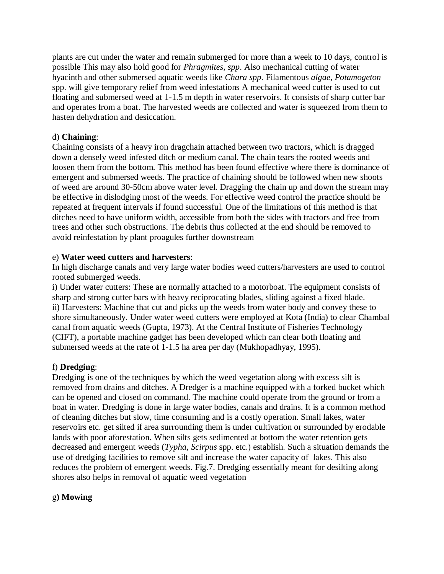plants are cut under the water and remain submerged for more than a week to 10 days, control is possible This may also hold good for *Phragmites, spp*. Also mechanical cutting of water hyacinth and other submersed aquatic weeds like *Chara spp*. Filamentous *algae*, *Potamogeton*  spp. will give temporary relief from weed infestations A mechanical weed cutter is used to cut floating and submersed weed at 1-1.5 m depth in water reservoirs. It consists of sharp cutter bar and operates from a boat. The harvested weeds are collected and water is squeezed from them to hasten dehydration and desiccation.

#### d) **Chaining**:

Chaining consists of a heavy iron dragchain attached between two tractors, which is dragged down a densely weed infested ditch or medium canal. The chain tears the rooted weeds and loosen them from the bottom. This method has been found effective where there is dominance of emergent and submersed weeds. The practice of chaining should be followed when new shoots of weed are around 30-50cm above water level. Dragging the chain up and down the stream may be effective in dislodging most of the weeds. For effective weed control the practice should be repeated at frequent intervals if found successful. One of the limitations of this method is that ditches need to have uniform width, accessible from both the sides with tractors and free from trees and other such obstructions. The debris thus collected at the end should be removed to avoid reinfestation by plant proagules further downstream

#### e) **Water weed cutters and harvesters**:

In high discharge canals and very large water bodies weed cutters/harvesters are used to control rooted submerged weeds.

i) Under water cutters: These are normally attached to a motorboat. The equipment consists of sharp and strong cutter bars with heavy reciprocating blades, sliding against a fixed blade. ii) Harvesters: Machine that cut and picks up the weeds from water body and convey these to shore simultaneously. Under water weed cutters were employed at Kota (India) to clear Chambal canal from aquatic weeds (Gupta, 1973). At the Central Institute of Fisheries Technology (CIFT), a portable machine gadget has been developed which can clear both floating and submersed weeds at the rate of 1-1.5 ha area per day (Mukhopadhyay, 1995).

#### f) **Dredging**:

Dredging is one of the techniques by which the weed vegetation along with excess silt is removed from drains and ditches. A Dredger is a machine equipped with a forked bucket which can be opened and closed on command. The machine could operate from the ground or from a boat in water. Dredging is done in large water bodies, canals and drains. It is a common method of cleaning ditches but slow, time consuming and is a costly operation. Small lakes, water reservoirs etc. get silted if area surrounding them is under cultivation or surrounded by erodable lands with poor aforestation. When silts gets sedimented at bottom the water retention gets decreased and emergent weeds (*Typha, Scirpus* spp. etc.) establish. Such a situation demands the use of dredging facilities to remove silt and increase the water capacity of lakes. This also reduces the problem of emergent weeds. Fig.7. Dredging essentially meant for desilting along shores also helps in removal of aquatic weed vegetation

#### g**) Mowing**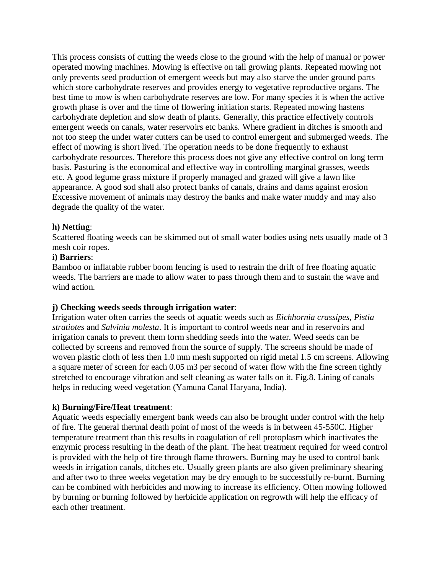This process consists of cutting the weeds close to the ground with the help of manual or power operated mowing machines. Mowing is effective on tall growing plants. Repeated mowing not only prevents seed production of emergent weeds but may also starve the under ground parts which store carbohydrate reserves and provides energy to vegetative reproductive organs. The best time to mow is when carbohydrate reserves are low. For many species it is when the active growth phase is over and the time of flowering initiation starts. Repeated mowing hastens carbohydrate depletion and slow death of plants. Generally, this practice effectively controls emergent weeds on canals, water reservoirs etc banks. Where gradient in ditches is smooth and not too steep the under water cutters can be used to control emergent and submerged weeds. The effect of mowing is short lived. The operation needs to be done frequently to exhaust carbohydrate resources. Therefore this process does not give any effective control on long term basis. Pasturing is the economical and effective way in controlling marginal grasses, weeds etc. A good legume grass mixture if properly managed and grazed will give a lawn like appearance. A good sod shall also protect banks of canals, drains and dams against erosion Excessive movement of animals may destroy the banks and make water muddy and may also degrade the quality of the water.

#### **h) Netting**:

Scattered floating weeds can be skimmed out of small water bodies using nets usually made of 3 mesh coir ropes.

#### **i) Barriers**:

Bamboo or inflatable rubber boom fencing is used to restrain the drift of free floating aquatic weeds. The barriers are made to allow water to pass through them and to sustain the wave and wind action.

#### **j) Checking weeds seeds through irrigation water**:

Irrigation water often carries the seeds of aquatic weeds such as *Eichhornia crassipes, Pistia stratiotes* and *Salvinia molesta*. It is important to control weeds near and in reservoirs and irrigation canals to prevent them form shedding seeds into the water. Weed seeds can be collected by screens and removed from the source of supply. The screens should be made of woven plastic cloth of less then 1.0 mm mesh supported on rigid metal 1.5 cm screens. Allowing a square meter of screen for each 0.05 m3 per second of water flow with the fine screen tightly stretched to encourage vibration and self cleaning as water falls on it. Fig.8. Lining of canals helps in reducing weed vegetation (Yamuna Canal Haryana, India).

#### **k) Burning/Fire/Heat treatment**:

Aquatic weeds especially emergent bank weeds can also be brought under control with the help of fire. The general thermal death point of most of the weeds is in between 45-550C. Higher temperature treatment than this results in coagulation of cell protoplasm which inactivates the enzymic process resulting in the death of the plant. The heat treatment required for weed control is provided with the help of fire through flame throwers. Burning may be used to control bank weeds in irrigation canals, ditches etc. Usually green plants are also given preliminary shearing and after two to three weeks vegetation may be dry enough to be successfully re-burnt. Burning can be combined with herbicides and mowing to increase its efficiency. Often mowing followed by burning or burning followed by herbicide application on regrowth will help the efficacy of each other treatment.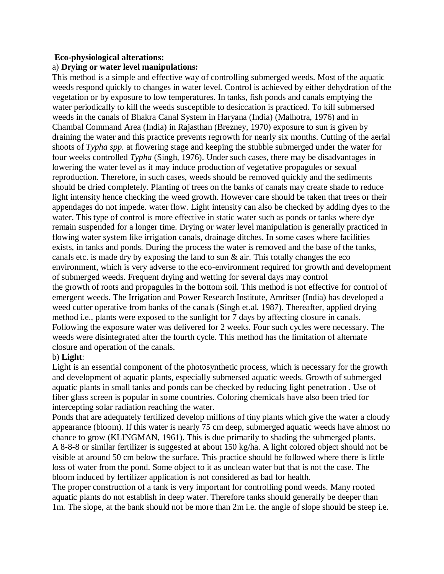#### **Eco-physiological alterations:**

#### a) **Drying or water level manipulations:**

This method is a simple and effective way of controlling submerged weeds. Most of the aquatic weeds respond quickly to changes in water level. Control is achieved by either dehydration of the vegetation or by exposure to low temperatures. In tanks, fish ponds and canals emptying the water periodically to kill the weeds susceptible to desiccation is practiced. To kill submersed weeds in the canals of Bhakra Canal System in Haryana (India) (Malhotra, 1976) and in Chambal Command Area (India) in Rajasthan (Brezney, 1970) exposure to sun is given by draining the water and this practice prevents regrowth for nearly six months. Cutting of the aerial shoots of *Typha spp.* at flowering stage and keeping the stubble submerged under the water for four weeks controlled *Typha* (Singh, 1976). Under such cases, there may be disadvantages in lowering the water level as it may induce production of vegetative propagules or sexual reproduction. Therefore, in such cases, weeds should be removed quickly and the sediments should be dried completely. Planting of trees on the banks of canals may create shade to reduce light intensity hence checking the weed growth. However care should be taken that trees or their appendages do not impede. water flow. Light intensity can also be checked by adding dyes to the water. This type of control is more effective in static water such as ponds or tanks where dye remain suspended for a longer time. Drying or water level manipulation is generally practiced in flowing water system like irrigation canals, drainage ditches. In some cases where facilities exists, in tanks and ponds. During the process the water is removed and the base of the tanks, canals etc. is made dry by exposing the land to sun  $\&$  air. This totally changes the eco environment, which is very adverse to the eco-environment required for growth and development of submerged weeds. Frequent drying and wetting for several days may control the growth of roots and propagules in the bottom soil. This method is not effective for control of emergent weeds. The Irrigation and Power Research Institute, Amritser (India) has developed a weed cutter operative from banks of the canals (Singh et.al. 1987). Thereafter, applied drying method i.e., plants were exposed to the sunlight for 7 days by affecting closure in canals. Following the exposure water was delivered for 2 weeks. Four such cycles were necessary. The weeds were disintegrated after the fourth cycle. This method has the limitation of alternate closure and operation of the canals.

#### b) **Light**:

Light is an essential component of the photosynthetic process, which is necessary for the growth and development of aquatic plants, especially submersed aquatic weeds. Growth of submerged aquatic plants in small tanks and ponds can be checked by reducing light penetration . Use of fiber glass screen is popular in some countries. Coloring chemicals have also been tried for intercepting solar radiation reaching the water.

Ponds that are adequately fertilized develop millions of tiny plants which give the water a cloudy appearance (bloom). If this water is nearly 75 cm deep, submerged aquatic weeds have almost no chance to grow (KLINGMAN, 1961). This is due primarily to shading the submerged plants. A 8-8-8 or similar fertilizer is suggested at about 150 kg/ha. A light colored object should not be visible at around 50 cm below the surface. This practice should be followed where there is little loss of water from the pond. Some object to it as unclean water but that is not the case. The bloom induced by fertilizer application is not considered as bad for health.

The proper construction of a tank is very important for controlling pond weeds. Many rooted aquatic plants do not establish in deep water. Therefore tanks should generally be deeper than 1m. The slope, at the bank should not be more than 2m i.e. the angle of slope should be steep i.e.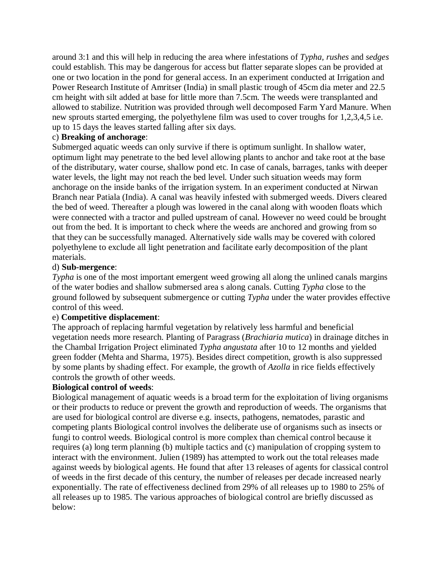around 3:1 and this will help in reducing the area where infestations of *Typha, rushes* and *sedges*  could establish. This may be dangerous for access but flatter separate slopes can be provided at one or two location in the pond for general access. In an experiment conducted at Irrigation and Power Research Institute of Amritser (India) in small plastic trough of 45cm dia meter and 22.5 cm height with silt added at base for little more than 7.5cm. The weeds were transplanted and allowed to stabilize. Nutrition was provided through well decomposed Farm Yard Manure. When new sprouts started emerging, the polyethylene film was used to cover troughs for 1,2,3,4,5 i.e. up to 15 days the leaves started falling after six days.

#### c) **Breaking of anchorage**:

Submerged aquatic weeds can only survive if there is optimum sunlight. In shallow water, optimum light may penetrate to the bed level allowing plants to anchor and take root at the base of the distributary, water course, shallow pond etc. In case of canals, barrages, tanks with deeper water levels, the light may not reach the bed level. Under such situation weeds may form anchorage on the inside banks of the irrigation system. In an experiment conducted at Nirwan Branch near Patiala (India). A canal was heavily infested with submerged weeds. Divers cleared the bed of weed. Thereafter a plough was lowered in the canal along with wooden floats which were connected with a tractor and pulled upstream of canal. However no weed could be brought out from the bed. It is important to check where the weeds are anchored and growing from so that they can be successfully managed. Alternatively side walls may be covered with colored polyethylene to exclude all light penetration and facilitate early decomposition of the plant materials.

#### d) **Sub-mergence**:

*Typha* is one of the most important emergent weed growing all along the unlined canals margins of the water bodies and shallow submersed area s along canals. Cutting *Typha* close to the ground followed by subsequent submergence or cutting *Typha* under the water provides effective control of this weed.

#### e) **Competitive displacement**:

The approach of replacing harmful vegetation by relatively less harmful and beneficial vegetation needs more research. Planting of Paragrass (*Brachiaria mutica*) in drainage ditches in the Chambal Irrigation Project eliminated *Typha angustata* after 10 to 12 months and yielded green fodder (Mehta and Sharma, 1975). Besides direct competition, growth is also suppressed by some plants by shading effect. For example, the growth of *Azolla* in rice fields effectively controls the growth of other weeds.

#### **Biological control of weeds**:

Biological management of aquatic weeds is a broad term for the exploitation of living organisms or their products to reduce or prevent the growth and reproduction of weeds. The organisms that are used for biological control are diverse e.g. insects, pathogens, nematodes, parastic and competing plants Biological control involves the deliberate use of organisms such as insects or fungi to control weeds. Biological control is more complex than chemical control because it requires (a) long term planning (b) multiple tactics and (c) manipulation of cropping system to interact with the environment. Julien (1989) has attempted to work out the total releases made against weeds by biological agents. He found that after 13 releases of agents for classical control of weeds in the first decade of this century, the number of releases per decade increased nearly exponentially. The rate of effectiveness declined from 29% of all releases up to 1980 to 25% of all releases up to 1985. The various approaches of biological control are briefly discussed as below: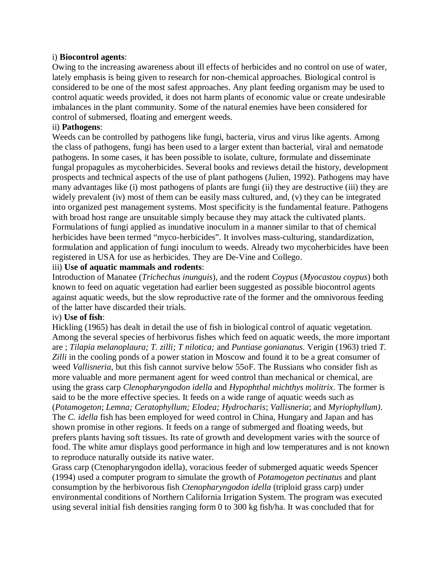#### i) **Biocontrol agents**:

Owing to the increasing awareness about ill effects of herbicides and no control on use of water, lately emphasis is being given to research for non-chemical approaches. Biological control is considered to be one of the most safest approaches. Any plant feeding organism may be used to control aquatic weeds provided, it does not harm plants of economic value or create undesirable imbalances in the plant community. Some of the natural enemies have been considered for control of submersed, floating and emergent weeds.

#### ii) **Pathogens**:

Weeds can be controlled by pathogens like fungi, bacteria, virus and virus like agents. Among the class of pathogens, fungi has been used to a larger extent than bacterial, viral and nematode pathogens. In some cases, it has been possible to isolate, culture, formulate and disseminate fungal propagules as mycoherbicides. Several books and reviews detail the history, development prospects and technical aspects of the use of plant pathogens (Julien, 1992). Pathogens may have many advantages like (i) most pathogens of plants are fungi (ii) they are destructive (iii) they are widely prevalent (iv) most of them can be easily mass cultured, and, (v) they can be integrated into organized pest management systems. Most specificity is the fundamental feature. Pathogens with broad host range are unsuitable simply because they may attack the cultivated plants. Formulations of fungi applied as inundative inoculum in a manner similar to that of chemical herbicides have been termed "myco-herbicides". It involves mass-culturing, standardization, formulation and application of fungi inoculum to weeds. Already two mycoherbicides have been registered in USA for use as herbicides. They are De-Vine and Collego.

#### iii) **Use of aquatic mammals and rodents**:

Introduction of Manatee (*Trichechus inunguis*), and the rodent *Coypus* (*Myocastou coypus*) both known to feed on aquatic vegetation had earlier been suggested as possible biocontrol agents against aquatic weeds, but the slow reproductive rate of the former and the omnivorous feeding of the latter have discarded their trials.

#### iv) **Use of fish**:

Hickling (1965) has dealt in detail the use of fish in biological control of aquatic vegetation. Among the several species of herbivorus fishes which feed on aquatic weeds, the more important are ; *Tilapia melanoplaura; T. zilli; T nilotica;* and *Puntiase gonianatus*. Verigin (1963) tried *T. Zilli* in the cooling ponds of a power station in Moscow and found it to be a great consumer of weed *Vallisneria*, but this fish cannot survive below 55oF. The Russians who consider fish as more valuable and more permanent agent for weed control than mechanical or chemical, are using the grass carp *Clenopharyngodon idella* and *Hypophthal michthys molitrix*. The former is said to be the more effective species. It feeds on a wide range of aquatic weeds such as (*Potamogeton*; *Lemna; Ceratophyllum; Elodea; Hydrocharis*; *Vallisneria*; and *Myriophyllum)*. The *C. idella* fish has been employed for weed control in China, Hungary and Japan and has shown promise in other regions. It feeds on a range of submerged and floating weeds, but prefers plants having soft tissues. Its rate of growth and development varies with the source of food. The white amur displays good performance in high and low temperatures and is not known to reproduce naturally outside its native water.

Grass carp (Ctenopharyngodon idella), voracious feeder of submerged aquatic weeds Spencer (1994) used a computer program to simulate the growth of *Potamogeton pectinatus* and plant consumption by the herbivorous fish *Ctenopharyngodon idella* (triploid grass carp) under environmental conditions of Northern California Irrigation System. The program was executed using several initial fish densities ranging form 0 to 300 kg fish/ha. It was concluded that for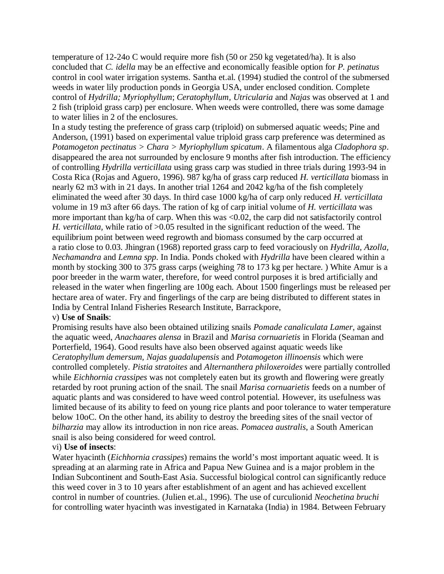temperature of 12-24o C would require more fish (50 or 250 kg vegetated/ha). It is also concluded that *C. idella* may be an effective and economically feasible option for *P. petinatus*  control in cool water irrigation systems. Santha et.al. (1994) studied the control of the submersed weeds in water lily production ponds in Georgia USA, under enclosed condition. Complete control of *Hydrilla; Myriophyllum*; *Ceratophyllum, Utricularia* and *Najas* was observed at 1 and 2 fish (triploid grass carp) per enclosure. When weeds were controlled, there was some damage to water lilies in 2 of the enclosures.

In a study testing the preference of grass carp (triploid) on submersed aquatic weeds; Pine and Anderson, (1991) based on experimental value triploid grass carp preference was determined as *Potamogeton pectinatus > Chara > Myriophyllum spicatum*. A filamentous alga *Cladophora sp*. disappeared the area not surrounded by enclosure 9 months after fish introduction. The efficiency of controlling *Hydrilla verticillata* using grass carp was studied in three trials during 1993-94 in Costa Rica (Rojas and Aguero, 1996). 987 kg/ha of grass carp reduced *H. verticillata* biomass in nearly 62 m3 with in 21 days. In another trial 1264 and 2042 kg/ha of the fish completely eliminated the weed after 30 days. In third case 1000 kg/ha of carp only reduced *H. verticillata*  volume in 19 m3 after 66 days. The ration of kg of carp initial volume of *H. verticillata* was more important than kg/ha of carp. When this was <0.02, the carp did not satisfactorily control *H. verticillata,* while ratio of >0.05 resulted in the significant reduction of the weed. The equilibrium point between weed regrowth and biomass consumed by the carp occurred at a ratio close to 0.03. Jhingran (1968) reported grass carp to feed voraciously on *Hydrilla, Azolla, Nechamandra* and *Lemna spp*. In India. Ponds choked with *Hydrilla* have been cleared within a month by stocking 300 to 375 grass carps (weighing 78 to 173 kg per hectare. ) White Amur is a poor breeder in the warm water, therefore, for weed control purposes it is bred artificially and released in the water when fingerling are 100g each. About 1500 fingerlings must be released per hectare area of water. Fry and fingerlings of the carp are being distributed to different states in India by Central Inland Fisheries Research Institute, Barrackpore,

#### v) **Use of Snails**:

Promising results have also been obtained utilizing snails *Pomade canaliculata Lamer*, against the aquatic weed, *Anachaares alensa* in Brazil and *Marisa cornuarietis* in Florida (Seaman and Porterfield, 1964). Good results have also been observed against aquatic weeds like *Ceratophyllum demersum, Najas guadalupensis* and *Potamogeton illinoensis* which were controlled completely. *Pistia stratoites* and *Alternanthera philoxeroides* were partially controlled while *Eichhornia crassipes* was not completely eaten but its growth and flowering were greatly retarded by root pruning action of the snail. The snail *Marisa cornuarietis* feeds on a number of aquatic plants and was considered to have weed control potential. However, its usefulness was limited because of its ability to feed on young rice plants and poor tolerance to water temperature below 10oC. On the other hand, its ability to destroy the breeding sites of the snail vector of *bilharzia* may allow its introduction in non rice areas. *Pomacea australis*, a South American snail is also being considered for weed control.

#### vi) **Use of insects**:

Water hyacinth (*Eichhornia crassipes*) remains the world's most important aquatic weed. It is spreading at an alarming rate in Africa and Papua New Guinea and is a major problem in the Indian Subcontinent and South-East Asia. Successful biological control can significantly reduce this weed cover in 3 to 10 years after establishment of an agent and has achieved excellent control in number of countries. (Julien et.al., 1996). The use of curculionid *Neochetina bruchi*  for controlling water hyacinth was investigated in Karnataka (India) in 1984. Between February